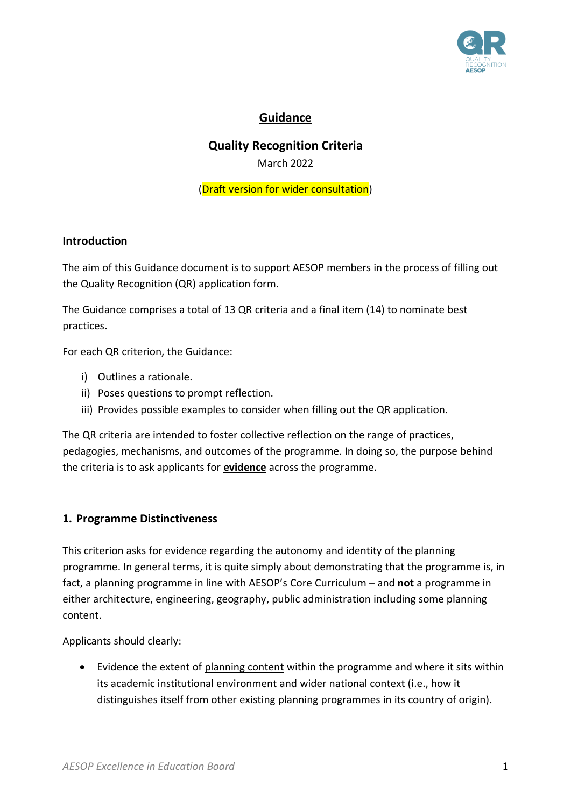

# **Guidance**

# **Quality Recognition Criteria**

March 2022

(Draft version for wider consultation)

#### **Introduction**

The aim of this Guidance document is to support AESOP members in the process of filling out the Quality Recognition (QR) application form.

The Guidance comprises a total of 13 QR criteria and a final item (14) to nominate best practices.

For each QR criterion, the Guidance:

- i) Outlines a rationale.
- ii) Poses questions to prompt reflection.
- iii) Provides possible examples to consider when filling out the QR application.

The QR criteria are intended to foster collective reflection on the range of practices, pedagogies, mechanisms, and outcomes of the programme. In doing so, the purpose behind the criteria is to ask applicants for **evidence** across the programme.

#### **1. Programme Distinctiveness**

This criterion asks for evidence regarding the autonomy and identity of the planning programme. In general terms, it is quite simply about demonstrating that the programme is, in fact, a planning programme in line with AESOP's Core Curriculum – and **not** a programme in either architecture, engineering, geography, public administration including some planning content.

Applicants should clearly:

• Evidence the extent of planning content within the programme and where it sits within its academic institutional environment and wider national context (i.e., how it distinguishes itself from other existing planning programmes in its country of origin).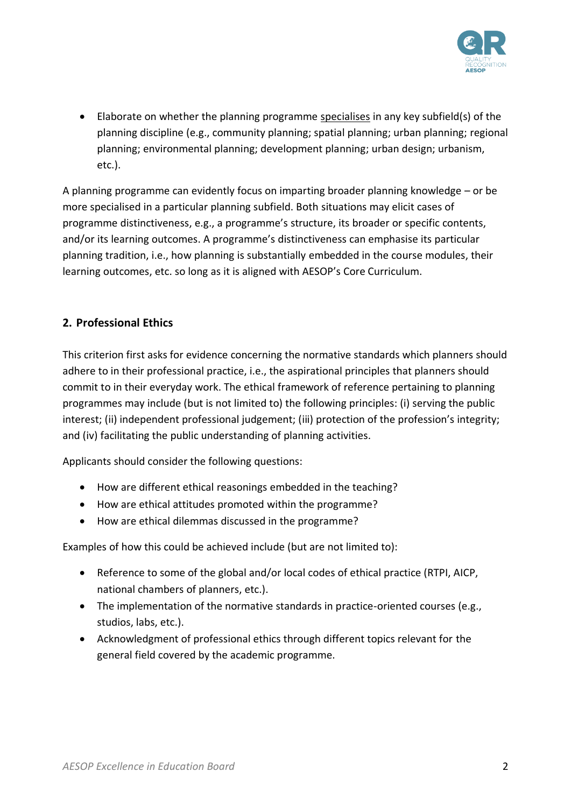

• Elaborate on whether the planning programme specialises in any key subfield(s) of the planning discipline (e.g., community planning; spatial planning; urban planning; regional planning; environmental planning; development planning; urban design; urbanism, etc.).

A planning programme can evidently focus on imparting broader planning knowledge – or be more specialised in a particular planning subfield. Both situations may elicit cases of programme distinctiveness, e.g., a programme's structure, its broader or specific contents, and/or its learning outcomes. A programme's distinctiveness can emphasise its particular planning tradition, i.e., how planning is substantially embedded in the course modules, their learning outcomes, etc. so long as it is aligned with AESOP's Core Curriculum.

### **2. Professional Ethics**

This criterion first asks for evidence concerning the normative standards which planners should adhere to in their professional practice, i.e., the aspirational principles that planners should commit to in their everyday work. The ethical framework of reference pertaining to planning programmes may include (but is not limited to) the following principles: (i) serving the public interest; (ii) independent professional judgement; (iii) protection of the profession's integrity; and (iv) facilitating the public understanding of planning activities.

Applicants should consider the following questions:

- How are different ethical reasonings embedded in the teaching?
- How are ethical attitudes promoted within the programme?
- How are ethical dilemmas discussed in the programme?

- Reference to some of the global and/or local codes of ethical practice (RTPI, AICP, national chambers of planners, etc.).
- The implementation of the normative standards in practice-oriented courses (e.g., studios, labs, etc.).
- Acknowledgment of professional ethics through different topics relevant for the general field covered by the academic programme.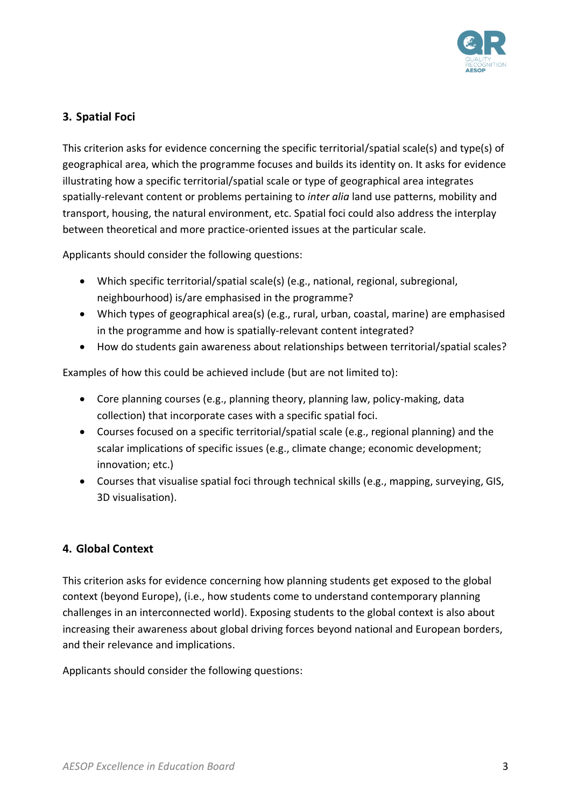

## **3. Spatial Foci**

This criterion asks for evidence concerning the specific territorial/spatial scale(s) and type(s) of geographical area, which the programme focuses and builds its identity on. It asks for evidence illustrating how a specific territorial/spatial scale or type of geographical area integrates spatially-relevant content or problems pertaining to *inter alia* land use patterns, mobility and transport, housing, the natural environment, etc. Spatial foci could also address the interplay between theoretical and more practice-oriented issues at the particular scale.

Applicants should consider the following questions:

- Which specific territorial/spatial scale(s) (e.g., national, regional, subregional, neighbourhood) is/are emphasised in the programme?
- Which types of geographical area(s) (e.g., rural, urban, coastal, marine) are emphasised in the programme and how is spatially-relevant content integrated?
- How do students gain awareness about relationships between territorial/spatial scales?

Examples of how this could be achieved include (but are not limited to):

- Core planning courses (e.g., planning theory, planning law, policy-making, data collection) that incorporate cases with a specific spatial foci.
- Courses focused on a specific territorial/spatial scale (e.g., regional planning) and the scalar implications of specific issues (e.g., climate change; economic development; innovation; etc.)
- Courses that visualise spatial foci through technical skills (e.g., mapping, surveying, GIS, 3D visualisation).

### **4. Global Context**

This criterion asks for evidence concerning how planning students get exposed to the global context (beyond Europe), (i.e., how students come to understand contemporary planning challenges in an interconnected world). Exposing students to the global context is also about increasing their awareness about global driving forces beyond national and European borders, and their relevance and implications.

Applicants should consider the following questions: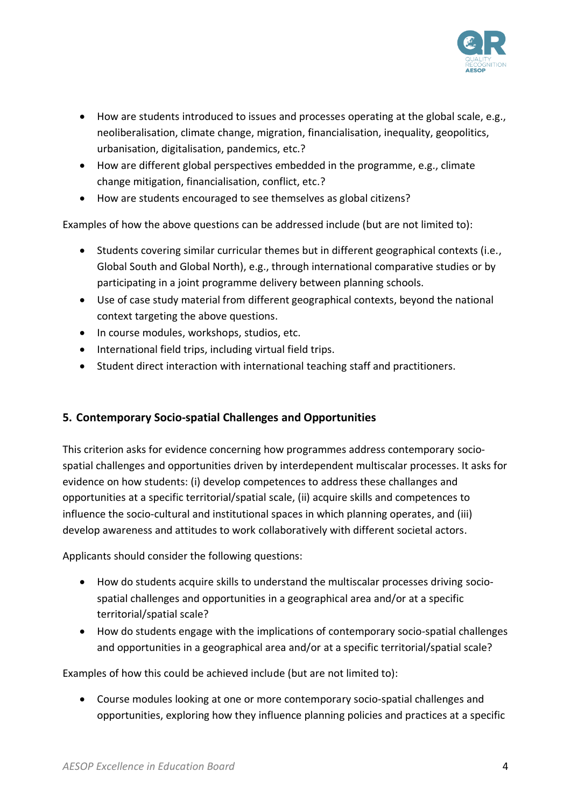

- How are students introduced to issues and processes operating at the global scale, e.g., neoliberalisation, climate change, migration, financialisation, inequality, geopolitics, urbanisation, digitalisation, pandemics, etc.?
- How are different global perspectives embedded in the programme, e.g., climate change mitigation, financialisation, conflict, etc.?
- How are students encouraged to see themselves as global citizens?

Examples of how the above questions can be addressed include (but are not limited to):

- Students covering similar curricular themes but in different geographical contexts (i.e., Global South and Global North), e.g., through international comparative studies or by participating in a joint programme delivery between planning schools.
- Use of case study material from different geographical contexts, beyond the national context targeting the above questions.
- In course modules, workshops, studios, etc.
- International field trips, including virtual field trips.
- Student direct interaction with international teaching staff and practitioners.

### **5. Contemporary Socio-spatial Challenges and Opportunities**

This criterion asks for evidence concerning how programmes address contemporary sociospatial challenges and opportunities driven by interdependent multiscalar processes. It asks for evidence on how students: (i) develop competences to address these challanges and opportunities at a specific territorial/spatial scale, (ii) acquire skills and competences to influence the socio-cultural and institutional spaces in which planning operates, and (iii) develop awareness and attitudes to work collaboratively with different societal actors.

Applicants should consider the following questions:

- How do students acquire skills to understand the multiscalar processes driving sociospatial challenges and opportunities in a geographical area and/or at a specific territorial/spatial scale?
- How do students engage with the implications of contemporary socio-spatial challenges and opportunities in a geographical area and/or at a specific territorial/spatial scale?

Examples of how this could be achieved include (but are not limited to):

• Course modules looking at one or more contemporary socio-spatial challenges and opportunities, exploring how they influence planning policies and practices at a specific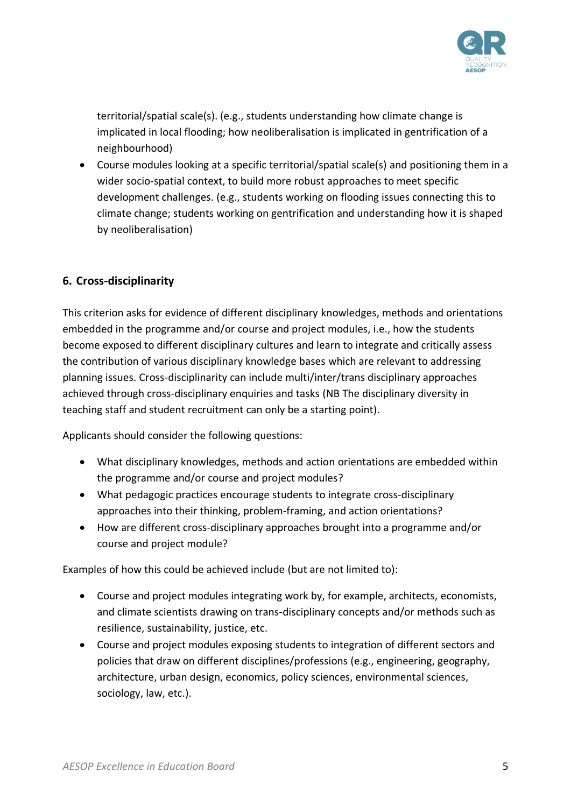

territorial/spatial scale(s). (e.g., students understanding how climate change is implicated in local flooding; how neoliberalisation is implicated in gentrification of a neighbourhood)

• Course modules looking at a specific territorial/spatial scale(s) and positioning them in a wider socio-spatial context, to build more robust approaches to meet specific development challenges. (e.g., students working on flooding issues connecting this to climate change; students working on gentrification and understanding how it is shaped by neoliberalisation)

#### **6. Cross-disciplinarity**

This criterion asks for evidence of different disciplinary knowledges, methods and orientations embedded in the programme and/or course and project modules, i.e., how the students become exposed to different disciplinary cultures and learn to integrate and critically assess the contribution of various disciplinary knowledge bases which are relevant to addressing planning issues. Cross-disciplinarity can include multi/inter/trans disciplinary approaches achieved through cross-disciplinary enquiries and tasks (NB The disciplinary diversity in teaching staff and student recruitment can only be a starting point).

Applicants should consider the following questions:

- What disciplinary knowledges, methods and action orientations are embedded within the programme and/or course and project modules?
- What pedagogic practices encourage students to integrate cross-disciplinary approaches into their thinking, problem-framing, and action orientations?
- How are different cross-disciplinary approaches brought into a programme and/or course and project module?

- Course and project modules integrating work by, for example, architects, economists, and climate scientists drawing on trans-disciplinary concepts and/or methods such as resilience, sustainability, justice, etc.
- Course and project modules exposing students to integration of different sectors and policies that draw on different disciplines/professions (e.g., engineering, geography, architecture, urban design, economics, policy sciences, environmental sciences, sociology, law, etc.).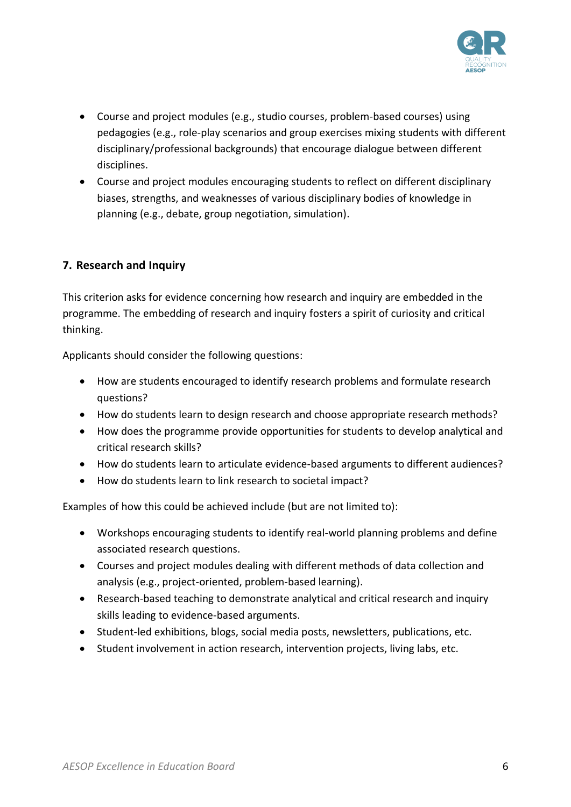

- Course and project modules (e.g., studio courses, problem-based courses) using pedagogies (e.g., role-play scenarios and group exercises mixing students with different disciplinary/professional backgrounds) that encourage dialogue between different disciplines.
- Course and project modules encouraging students to reflect on different disciplinary biases, strengths, and weaknesses of various disciplinary bodies of knowledge in planning (e.g., debate, group negotiation, simulation).

### **7. Research and Inquiry**

This criterion asks for evidence concerning how research and inquiry are embedded in the programme. The embedding of research and inquiry fosters a spirit of curiosity and critical thinking.

Applicants should consider the following questions:

- How are students encouraged to identify research problems and formulate research questions?
- How do students learn to design research and choose appropriate research methods?
- How does the programme provide opportunities for students to develop analytical and critical research skills?
- How do students learn to articulate evidence-based arguments to different audiences?
- How do students learn to link research to societal impact?

- Workshops encouraging students to identify real-world planning problems and define associated research questions.
- Courses and project modules dealing with different methods of data collection and analysis (e.g., project-oriented, problem-based learning).
- Research-based teaching to demonstrate analytical and critical research and inquiry skills leading to evidence-based arguments.
- Student-led exhibitions, blogs, social media posts, newsletters, publications, etc.
- Student involvement in action research, intervention projects, living labs, etc.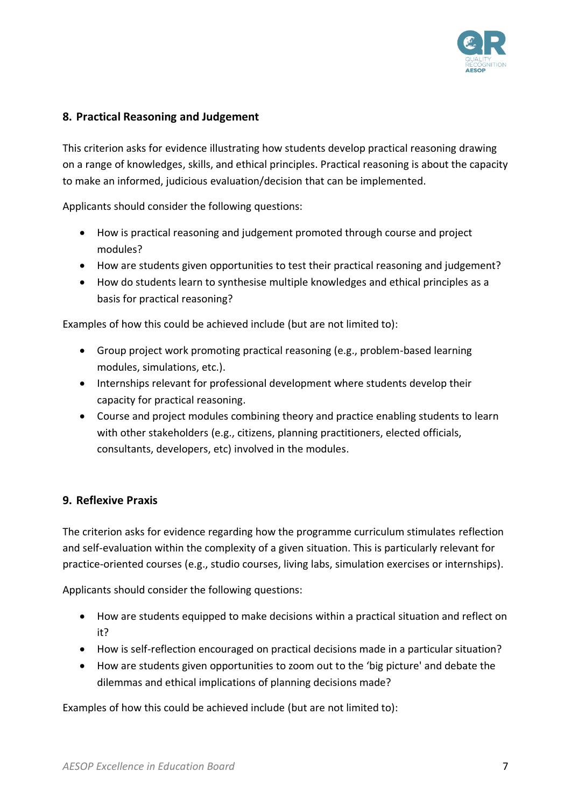

## **8. Practical Reasoning and Judgement**

This criterion asks for evidence illustrating how students develop practical reasoning drawing on a range of knowledges, skills, and ethical principles. Practical reasoning is about the capacity to make an informed, judicious evaluation/decision that can be implemented.

Applicants should consider the following questions:

- How is practical reasoning and judgement promoted through course and project modules?
- How are students given opportunities to test their practical reasoning and judgement?
- How do students learn to synthesise multiple knowledges and ethical principles as a basis for practical reasoning?

Examples of how this could be achieved include (but are not limited to):

- Group project work promoting practical reasoning (e.g., problem-based learning modules, simulations, etc.).
- Internships relevant for professional development where students develop their capacity for practical reasoning.
- Course and project modules combining theory and practice enabling students to learn with other stakeholders (e.g., citizens, planning practitioners, elected officials, consultants, developers, etc) involved in the modules.

### **9. Reflexive Praxis**

The criterion asks for evidence regarding how the programme curriculum stimulates reflection and self-evaluation within the complexity of a given situation. This is particularly relevant for practice-oriented courses (e.g., studio courses, living labs, simulation exercises or internships).

Applicants should consider the following questions:

- How are students equipped to make decisions within a practical situation and reflect on it?
- How is self-reflection encouraged on practical decisions made in a particular situation?
- How are students given opportunities to zoom out to the 'big picture' and debate the dilemmas and ethical implications of planning decisions made?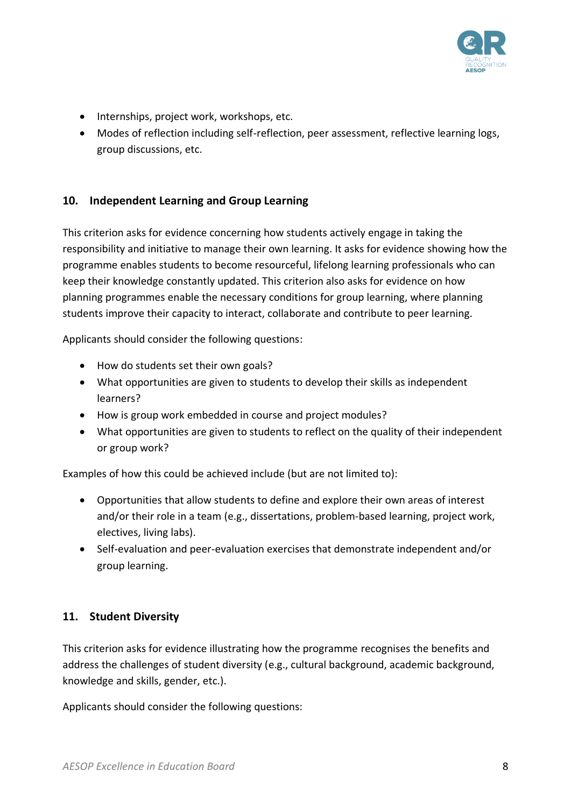

- Internships, project work, workshops, etc.
- Modes of reflection including self-reflection, peer assessment, reflective learning logs, group discussions, etc.

#### **10. Independent Learning and Group Learning**

This criterion asks for evidence concerning how students actively engage in taking the responsibility and initiative to manage their own learning. It asks for evidence showing how the programme enables students to become resourceful, lifelong learning professionals who can keep their knowledge constantly updated. This criterion also asks for evidence on how planning programmes enable the necessary conditions for group learning, where planning students improve their capacity to interact, collaborate and contribute to peer learning.

Applicants should consider the following questions:

- How do students set their own goals?
- What opportunities are given to students to develop their skills as independent learners?
- How is group work embedded in course and project modules?
- What opportunities are given to students to reflect on the quality of their independent or group work?

Examples of how this could be achieved include (but are not limited to):

- Opportunities that allow students to define and explore their own areas of interest and/or their role in a team (e.g., dissertations, problem-based learning, project work, electives, living labs).
- Self-evaluation and peer-evaluation exercises that demonstrate independent and/or group learning.

### **11. Student Diversity**

This criterion asks for evidence illustrating how the programme recognises the benefits and address the challenges of student diversity (e.g., cultural background, academic background, knowledge and skills, gender, etc.).

Applicants should consider the following questions: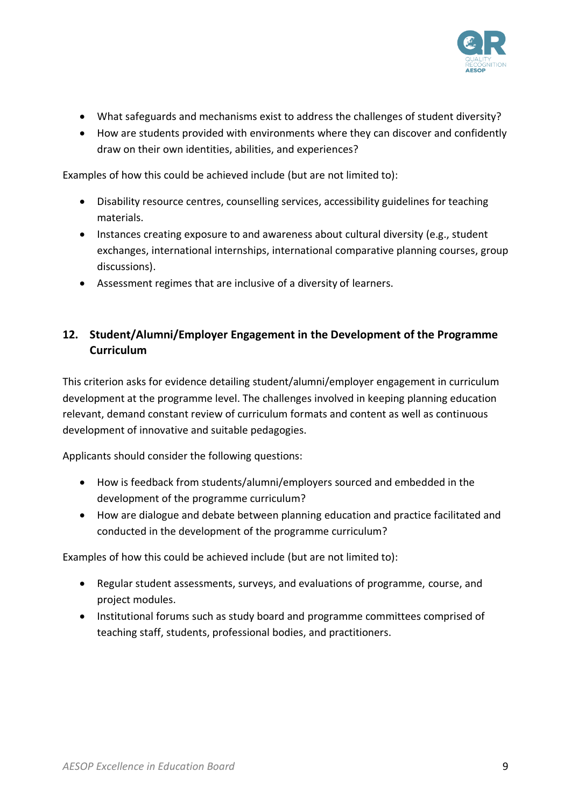

- What safeguards and mechanisms exist to address the challenges of student diversity?
- How are students provided with environments where they can discover and confidently draw on their own identities, abilities, and experiences?

Examples of how this could be achieved include (but are not limited to):

- Disability resource centres, counselling services, accessibility guidelines for teaching materials.
- Instances creating exposure to and awareness about cultural diversity (e.g., student exchanges, international internships, international comparative planning courses, group discussions).
- Assessment regimes that are inclusive of a diversity of learners.

## **12. Student/Alumni/Employer Engagement in the Development of the Programme Curriculum**

This criterion asks for evidence detailing student/alumni/employer engagement in curriculum development at the programme level. The challenges involved in keeping planning education relevant, demand constant review of curriculum formats and content as well as continuous development of innovative and suitable pedagogies.

Applicants should consider the following questions:

- How is feedback from students/alumni/employers sourced and embedded in the development of the programme curriculum?
- How are dialogue and debate between planning education and practice facilitated and conducted in the development of the programme curriculum?

- Regular student assessments, surveys, and evaluations of programme, course, and project modules.
- Institutional forums such as study board and programme committees comprised of teaching staff, students, professional bodies, and practitioners.